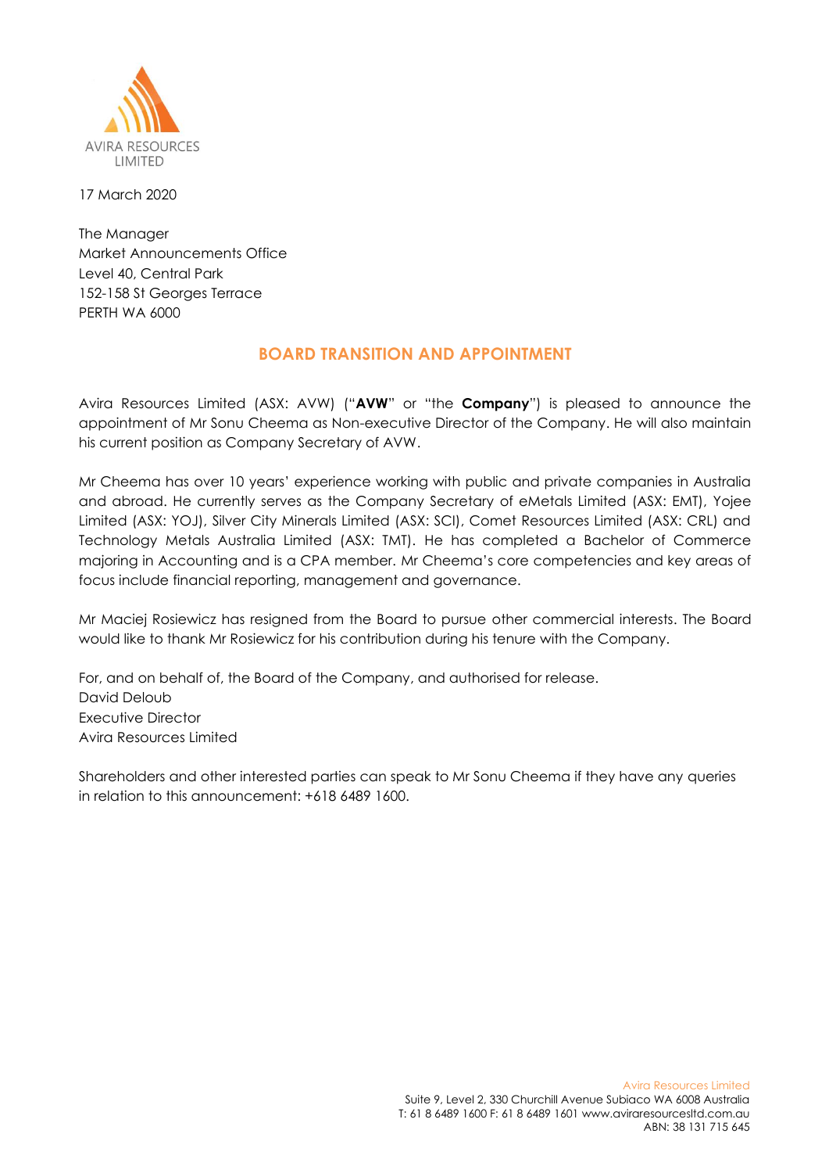

17 March 2020

The Manager Market Announcements Office Level 40, Central Park 152-158 St Georges Terrace PERTH WA 6000

## **BOARD TRANSITION AND APPOINTMENT**

Avira Resources Limited (ASX: AVW) ("**AVW**" or "the **Company**") is pleased to announce the appointment of Mr Sonu Cheema as Non-executive Director of the Company. He will also maintain his current position as Company Secretary of AVW.

Mr Cheema has over 10 years' experience working with public and private companies in Australia and abroad. He currently serves as the Company Secretary of eMetals Limited (ASX: EMT), Yojee Limited (ASX: YOJ), Silver City Minerals Limited (ASX: SCI), Comet Resources Limited (ASX: CRL) and Technology Metals Australia Limited (ASX: TMT). He has completed a Bachelor of Commerce majoring in Accounting and is a CPA member. Mr Cheema's core competencies and key areas of focus include financial reporting, management and governance.

Mr Maciej Rosiewicz has resigned from the Board to pursue other commercial interests. The Board would like to thank Mr Rosiewicz for his contribution during his tenure with the Company.

For, and on behalf of, the Board of the Company, and authorised for release. David Deloub Executive Director Avira Resources Limited

Shareholders and other interested parties can speak to Mr Sonu Cheema if they have any queries in relation to this announcement: +618 6489 1600.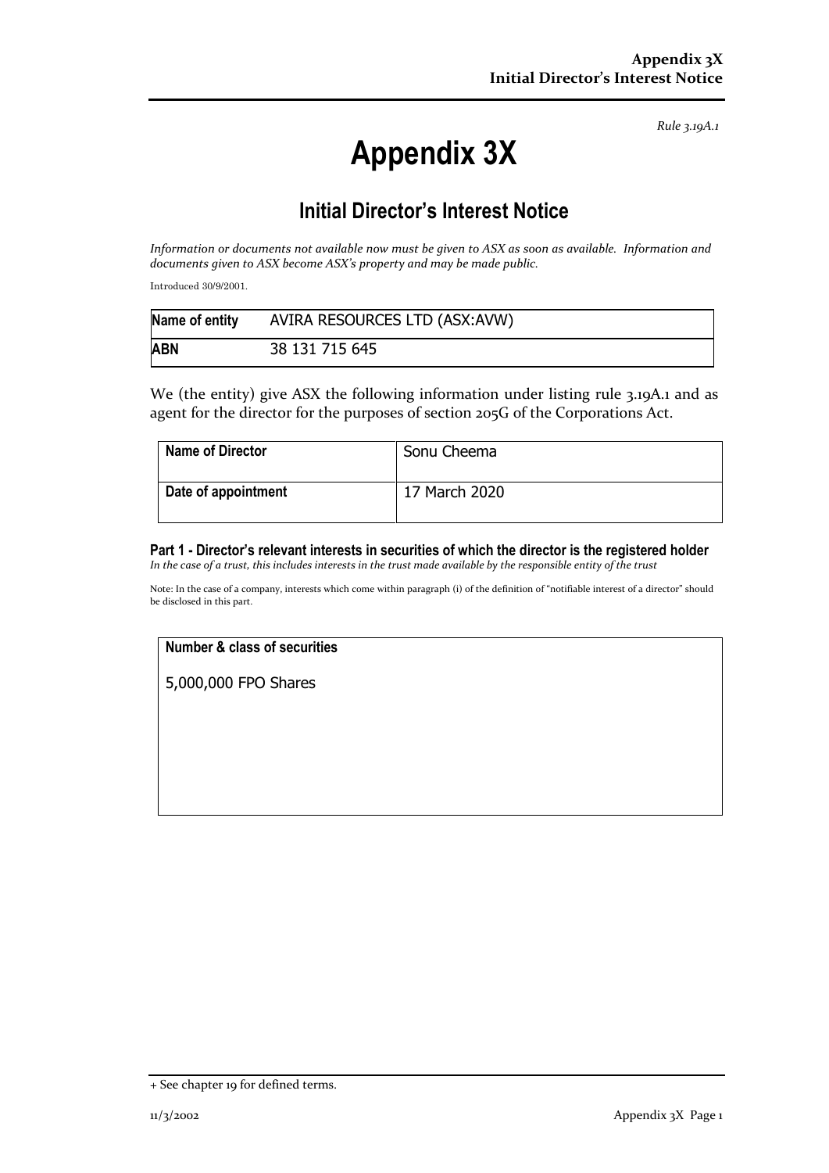*Rule 3.19A.1*

# **Appendix 3X**

# **Initial Director's Interest Notice**

*Information or documents not available now must be given to ASX as soon as available. Information and documents given to ASX become ASX's property and may be made public.*

Introduced 30/9/2001.

| Name of entity | AVIRA RESOURCES LTD (ASX:AVW) |
|----------------|-------------------------------|
| <b>ABN</b>     | 38 131 715 645                |

We (the entity) give ASX the following information under listing rule 3.19A.1 and as agent for the director for the purposes of section 205G of the Corporations Act.

| <b>Name of Director</b> | Sonu Cheema   |
|-------------------------|---------------|
| Date of appointment     | 17 March 2020 |

## **Part 1 - Director's relevant interests in securities of which the director is the registered holder**

*In the case of a trust, this includes interests in the trust made available by the responsible entity of the trust*

Note: In the case of a company, interests which come within paragraph (i) of the definition of "notifiable interest of a director" should be disclosed in this part.

### **Number & class of securities**

5,000,000 FPO Shares

<sup>+</sup> See chapter 19 for defined terms.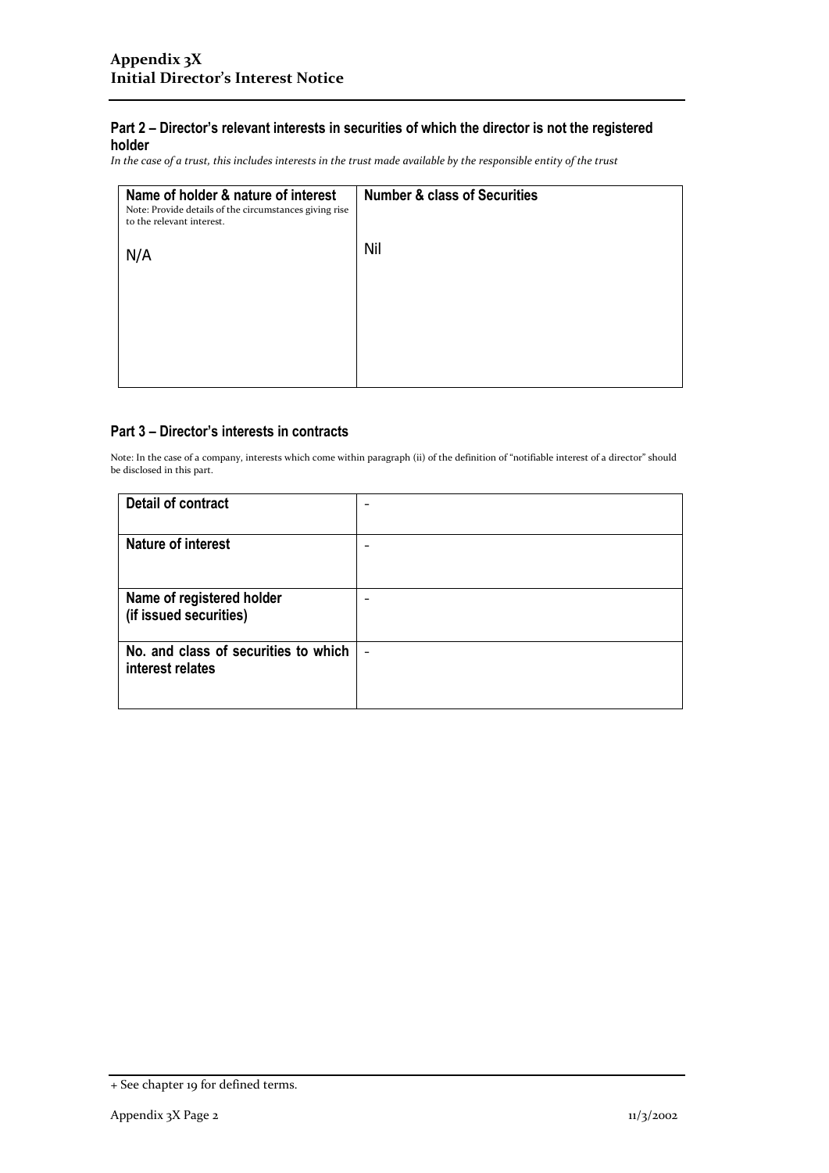### **Part 2 – Director's relevant interests in securities of which the director is not the registered holder**

*In the case of a trust, this includes interests in the trust made available by the responsible entity of the trust*

| Name of holder & nature of interest<br>Note: Provide details of the circumstances giving rise<br>to the relevant interest. | <b>Number &amp; class of Securities</b> |
|----------------------------------------------------------------------------------------------------------------------------|-----------------------------------------|
| N/A                                                                                                                        | Nil                                     |
|                                                                                                                            |                                         |
|                                                                                                                            |                                         |

#### **Part 3 – Director's interests in contracts**

Note: In the case of a company, interests which come within paragraph (ii) of the definition of "notifiable interest of a director" should be disclosed in this part.

| <b>Detail of contract</b>                                |  |
|----------------------------------------------------------|--|
| <b>Nature of interest</b>                                |  |
| Name of registered holder<br>(if issued securities)      |  |
| No. and class of securities to which<br>interest relates |  |

<sup>+</sup> See chapter 19 for defined terms.